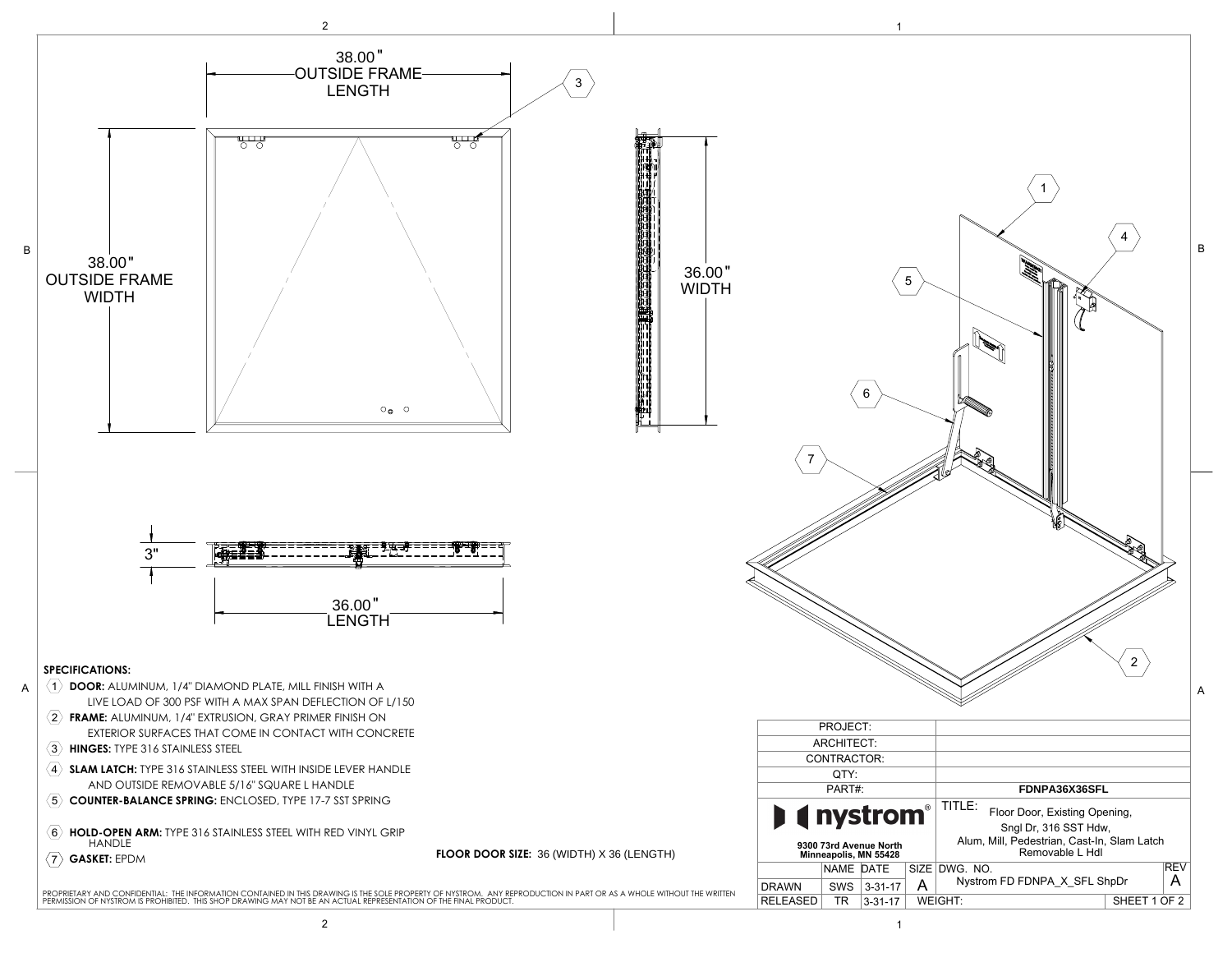

| $\circ_\bullet \hspace{0.2cm} \circ$<br>36.00"<br><b>LENGTH</b><br>NISH WITH A |                                                                                                                                                            | 36.00"<br><b>WIDTH</b><br>三十四 | 7                                                                  |           | 6             | $\mathbf 5$ | $\boldsymbol{2}$                                                                                                                   | B<br>Α |
|--------------------------------------------------------------------------------|------------------------------------------------------------------------------------------------------------------------------------------------------------|-------------------------------|--------------------------------------------------------------------|-----------|---------------|-------------|------------------------------------------------------------------------------------------------------------------------------------|--------|
| LECTION OF L/150<br>ER FINISH ON                                               |                                                                                                                                                            |                               |                                                                    |           |               |             |                                                                                                                                    |        |
| <b>I WITH CONCRETE</b><br><b>E LEVER HANDLE</b>                                |                                                                                                                                                            |                               | PROJECT:                                                           |           |               |             |                                                                                                                                    |        |
|                                                                                |                                                                                                                                                            |                               | ARCHITECT:                                                         |           |               |             |                                                                                                                                    |        |
|                                                                                |                                                                                                                                                            |                               | CONTRACTOR:                                                        |           |               |             |                                                                                                                                    |        |
| ANDLE                                                                          |                                                                                                                                                            |                               | QTY:                                                               |           |               |             |                                                                                                                                    |        |
| -7 SST SPRING                                                                  |                                                                                                                                                            |                               |                                                                    | PART#:    |               |             | FDNPA36X36SFL                                                                                                                      |        |
| RED VINYL GRIP<br>FLOOR DOOR SIZE: 36 (WIDTH) X 36 (LENGTH)                    |                                                                                                                                                            |                               | <b>nystrom®</b><br>9300 73rd Avenue North<br>Minneapolis, MN 55428 |           |               |             | TITLE:<br>Floor Door, Existing Opening,<br>Sngl Dr, 316 SST Hdw,<br>Alum, Mill, Pedestrian, Cast-In, Slam Latch<br>Removable L Hdl |        |
|                                                                                |                                                                                                                                                            |                               |                                                                    | NAME DATE |               |             | REV<br>SIZE DWG. NO.                                                                                                               |        |
|                                                                                |                                                                                                                                                            |                               | <b>DRAWN</b>                                                       |           | SWS 3-31-17   | A           | Nystrom FD FDNPA_X_SFL ShpDr<br>A                                                                                                  |        |
|                                                                                | .<br>AWING IS THE SOLE PROPERTY OF NYSTROM.   ANY REPRODUCTION IN PART OR AS A WHOLE WITHOUT THE WRITTEN<br>IN ACTUAL REPRESENTATION OF THE FINAL PRODUCT. |                               | RELEASED                                                           | TR        | $3 - 31 - 17$ |             | WEIGHT:<br>SHEET 1 OF 2                                                                                                            |        |
| $\overline{c}$                                                                 |                                                                                                                                                            |                               |                                                                    |           | $\mathbf{1}$  |             |                                                                                                                                    |        |
|                                                                                |                                                                                                                                                            |                               |                                                                    |           |               |             |                                                                                                                                    |        |